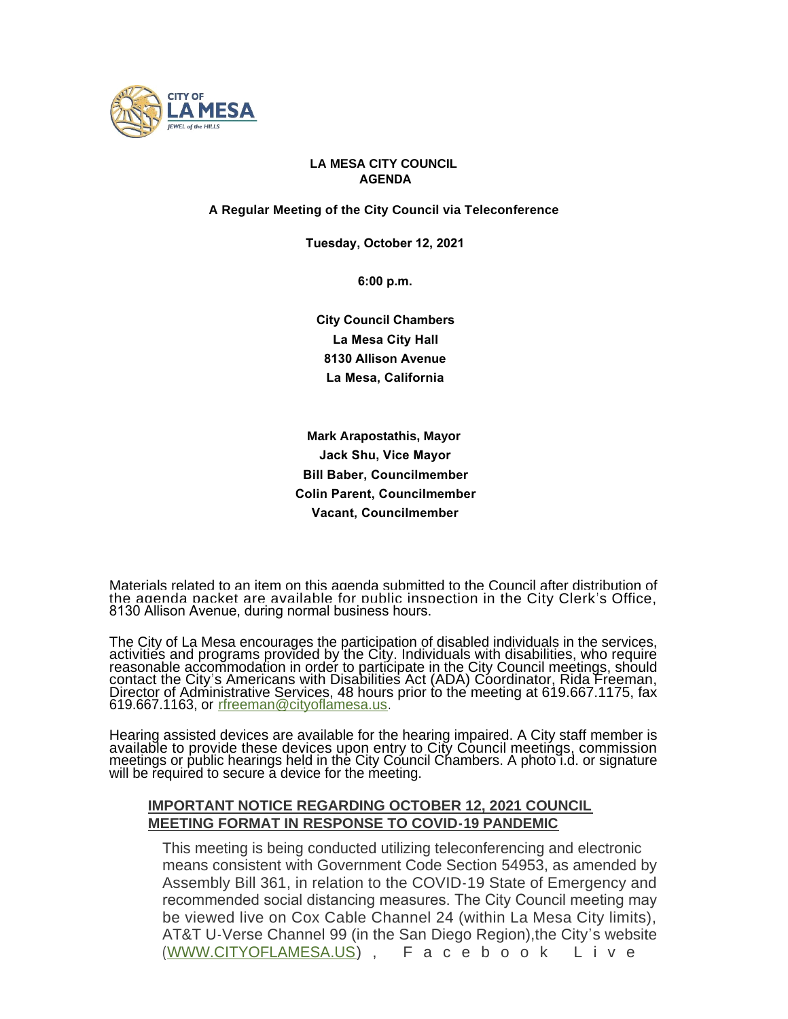

### **LA MESA CITY COUNCIL AGENDA**

**A Regular Meeting of the City Council via Teleconference**

 **Tuesday, October 12, 2021**

 **6:00 p.m.**

 **City Council Chambers La Mesa City Hall 8130 Allison Avenue La Mesa, California**

**Mark Arapostathis, Mayor Jack Shu, Vice Mayor Bill Baber, Councilmember Colin Parent, Councilmember Vacant, Councilmember**

Materials related to an item on this agenda submitted to the Council after distribution of the agenda packet are available for public inspection in the City Clerk's Office, 8130 Allison Avenue, during normal business hours.

The City of La Mesa encourages the participation of disabled individuals in the services, activities and programs provided by the City. Individuals with disabilities, who require reasonable accommodation in order to participate in the City Council meetings, should contact the City's Americans with Disabilities Act (ADA) Coordinator, Rida Freeman, Director of Administrative Services, 48 hours prior to the meeting at 619.667.1175, fax 619.667.1163, or [rfreeman@cityoflamesa.us.](mailto:rfreeman@ci.la-mesa.ca.us)

Hearing assisted devices are available for the hearing impaired. A City staff member is available to provide these devices upon entry to City Council meetings, commission meetings or public hearings held in the City Council Chambers. A photo i.d. or signature will be required to secure a device for the meeting.

#### **IMPORTANT NOTICE REGARDING OCTOBER 12, 2021 COUNCIL MEETING FORMAT IN RESPONSE TO COVID-19 PANDEMIC**

This meeting is being conducted utilizing teleconferencing and electronic means consistent with Government Code Section 54953, as amended by Assembly Bill 361, in relation to the COVID-19 State of Emergency and recommended social distancing measures. The City Council meeting may be viewed live on Cox Cable Channel 24 (within La Mesa City limits), AT&T U-Verse Channel 99 (in the San Diego Region),the City's website ([WWW.CITYOFLAMESA.US](http://www.cityoflamesa.us/)), Facebook Live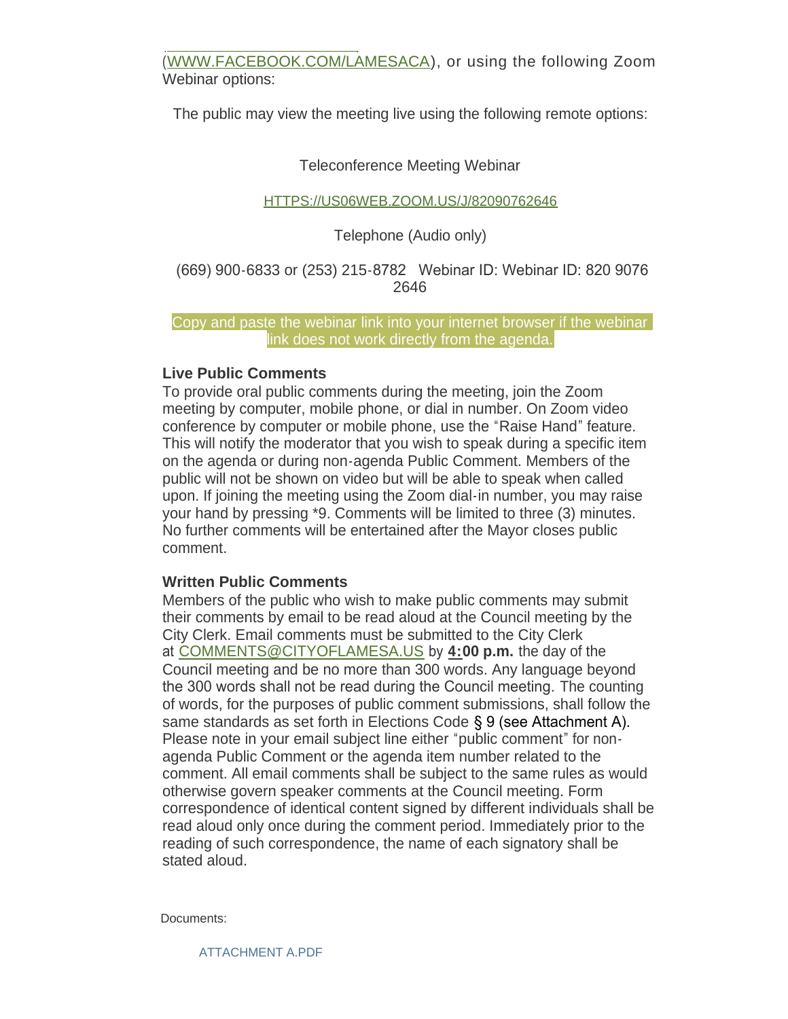$\sim$ ([WWW.FACEBOOK.COM/LAMESACA\)](http://www.facebook.com/lamesaca), or using the following Zoom Webinar options:

The public may view the meeting live using the following remote options:

# Teleconference Meeting Webinar

## [HTTPS://US06WEB.ZOOM.US/J/82090762646](https://us06web.zoom.us/j/82090762646)

# Telephone (Audio only)

# (669) 900-6833 or (253) 215-8782 Webinar ID: Webinar ID: 820 9076 2646

### Copy and paste the webinar link into your internet browser if the webinar link does not work directly from the agenda.

# **Live Public Comments**

To provide oral public comments during the meeting, join the Zoom meeting by computer, mobile phone, or dial in number. On Zoom video conference by computer or mobile phone, use the "Raise Hand" feature. This will notify the moderator that you wish to speak during a specific item on the agenda or during non-agenda Public Comment. Members of the public will not be shown on video but will be able to speak when called upon. If joining the meeting using the Zoom dial-in number, you may raise your hand by pressing \*9. Comments will be limited to three (3) minutes. No further comments will be entertained after the Mayor closes public comment.

## **Written Public Comments**

Members of the public who wish to make public comments may submit their comments by email to be read aloud at the Council meeting by the City Clerk. Email comments must be submitted to the City Clerk at [COMMENTS@CITYOFLAMESA.US](mailto:comments@cityoflamesa.us) by **4:00 p.m.** the day of the Council meeting and be no more than 300 words. Any language beyond the 300 words shall not be read during the Council meeting. The counting of words, for the purposes of public comment submissions, shall follow the same standards as set forth in Elections Code § 9 (see Attachment A). Please note in your email subject line either "public comment" for nonagenda Public Comment or the agenda item number related to the comment. All email comments shall be subject to the same rules as would otherwise govern speaker comments at the Council meeting. Form correspondence of identical content signed by different individuals shall be read aloud only once during the comment period. Immediately prior to the reading of such correspondence, the name of each signatory shall be stated aloud.

Documents: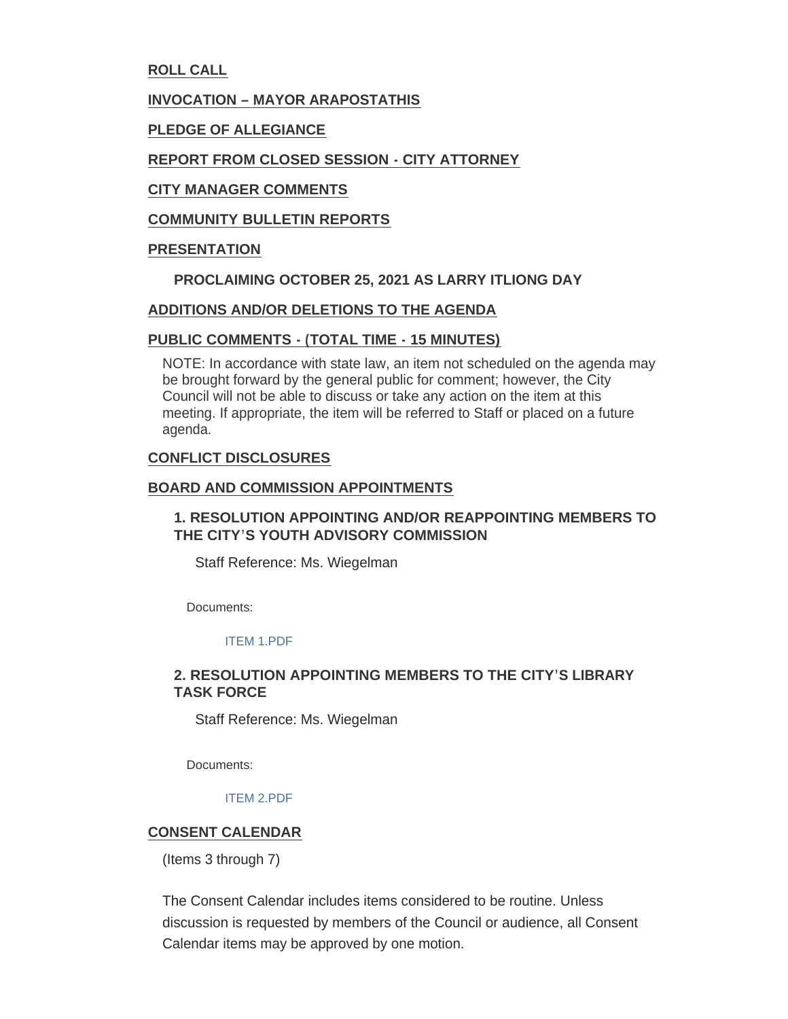**ROLL CALL**

### **INVOCATION – MAYOR ARAPOSTATHIS**

**PLEDGE OF ALLEGIANCE**

## **REPORT FROM CLOSED SESSION - CITY ATTORNEY**

### **CITY MANAGER COMMENTS**

### **COMMUNITY BULLETIN REPORTS**

### **PRESENTATION**

### **PROCLAIMING OCTOBER 25, 2021 AS LARRY ITLIONG DAY**

### **ADDITIONS AND/OR DELETIONS TO THE AGENDA**

### **PUBLIC COMMENTS - (TOTAL TIME - 15 MINUTES)**

NOTE: In accordance with state law, an item not scheduled on the agenda may be brought forward by the general public for comment; however, the City Council will not be able to discuss or take any action on the item at this meeting. If appropriate, the item will be referred to Staff or placed on a future agenda.

### **CONFLICT DISCLOSURES**

#### **BOARD AND COMMISSION APPOINTMENTS**

## **1. RESOLUTION APPOINTING AND/OR REAPPOINTING MEMBERS TO THE CITY'S YOUTH ADVISORY COMMISSION**

Staff Reference: Ms. Wiegelman

Documents:

## [ITEM 1.PDF](https://www.cityoflamesa.us/AgendaCenter/ViewFile/Item/6430?fileID=15158)

## **2. RESOLUTION APPOINTING MEMBERS TO THE CITY'S LIBRARY TASK FORCE**

Staff Reference: Ms. Wiegelman

Documents:

#### [ITEM 2.PDF](https://www.cityoflamesa.us/AgendaCenter/ViewFile/Item/6431?fileID=15159)

## **CONSENT CALENDAR**

(Items 3 through 7)

The Consent Calendar includes items considered to be routine. Unless discussion is requested by members of the Council or audience, all Consent Calendar items may be approved by one motion.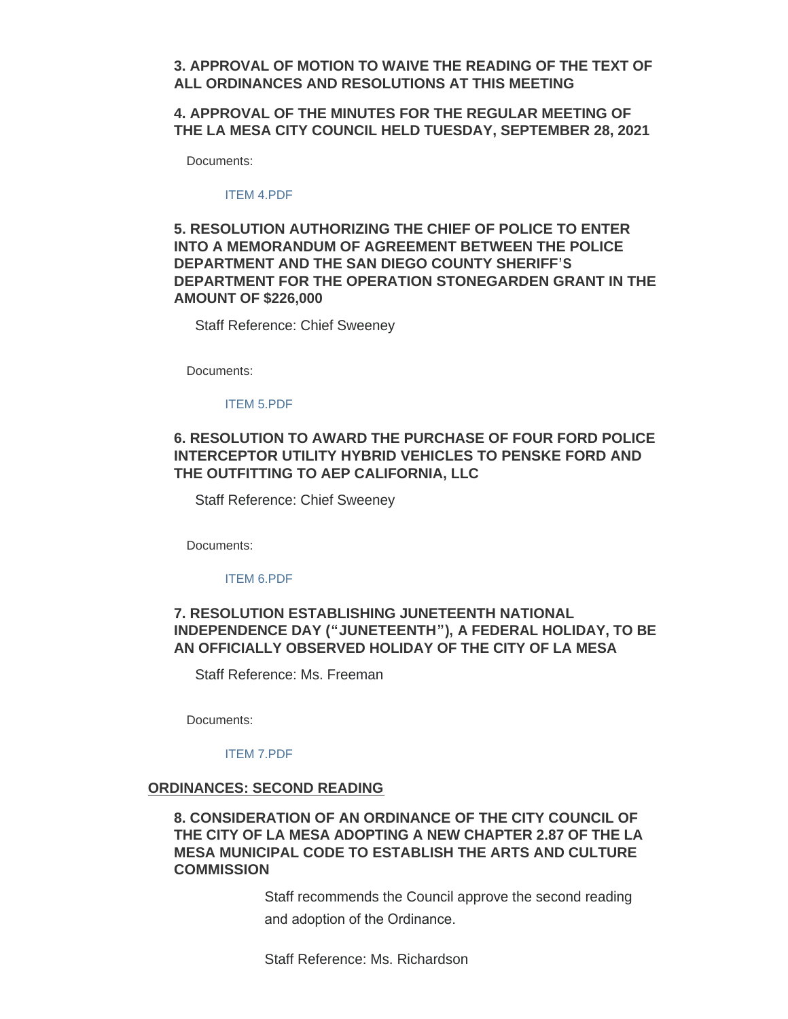### **3. APPROVAL OF MOTION TO WAIVE THE READING OF THE TEXT OF ALL ORDINANCES AND RESOLUTIONS AT THIS MEETING**

**4. APPROVAL OF THE MINUTES FOR THE REGULAR MEETING OF THE LA MESA CITY COUNCIL HELD TUESDAY, SEPTEMBER 28, 2021**

Documents:

#### [ITEM 4.PDF](https://www.cityoflamesa.us/AgendaCenter/ViewFile/Item/6432?fileID=15160)

## **5. RESOLUTION AUTHORIZING THE CHIEF OF POLICE TO ENTER INTO A MEMORANDUM OF AGREEMENT BETWEEN THE POLICE DEPARTMENT AND THE SAN DIEGO COUNTY SHERIFF'S DEPARTMENT FOR THE OPERATION STONEGARDEN GRANT IN THE AMOUNT OF \$226,000**

Staff Reference: Chief Sweeney

Documents:

#### [ITEM 5.PDF](https://www.cityoflamesa.us/AgendaCenter/ViewFile/Item/6433?fileID=15161)

## **6. RESOLUTION TO AWARD THE PURCHASE OF FOUR FORD POLICE INTERCEPTOR UTILITY HYBRID VEHICLES TO PENSKE FORD AND THE OUTFITTING TO AEP CALIFORNIA, LLC**

Staff Reference: Chief Sweeney

Documents:

#### [ITEM 6.PDF](https://www.cityoflamesa.us/AgendaCenter/ViewFile/Item/6434?fileID=15162)

## **7. RESOLUTION ESTABLISHING JUNETEENTH NATIONAL INDEPENDENCE DAY ("JUNETEENTH"), A FEDERAL HOLIDAY, TO BE AN OFFICIALLY OBSERVED HOLIDAY OF THE CITY OF LA MESA**

Staff Reference: Ms. Freeman

Documents:

#### [ITEM 7.PDF](https://www.cityoflamesa.us/AgendaCenter/ViewFile/Item/6435?fileID=15163)

#### **ORDINANCES: SECOND READING**

## **8. CONSIDERATION OF AN ORDINANCE OF THE CITY COUNCIL OF THE CITY OF LA MESA ADOPTING A NEW CHAPTER 2.87 OF THE LA MESA MUNICIPAL CODE TO ESTABLISH THE ARTS AND CULTURE COMMISSION**

Staff recommends the Council approve the second reading and adoption of the Ordinance.

Staff Reference: Ms. Richardson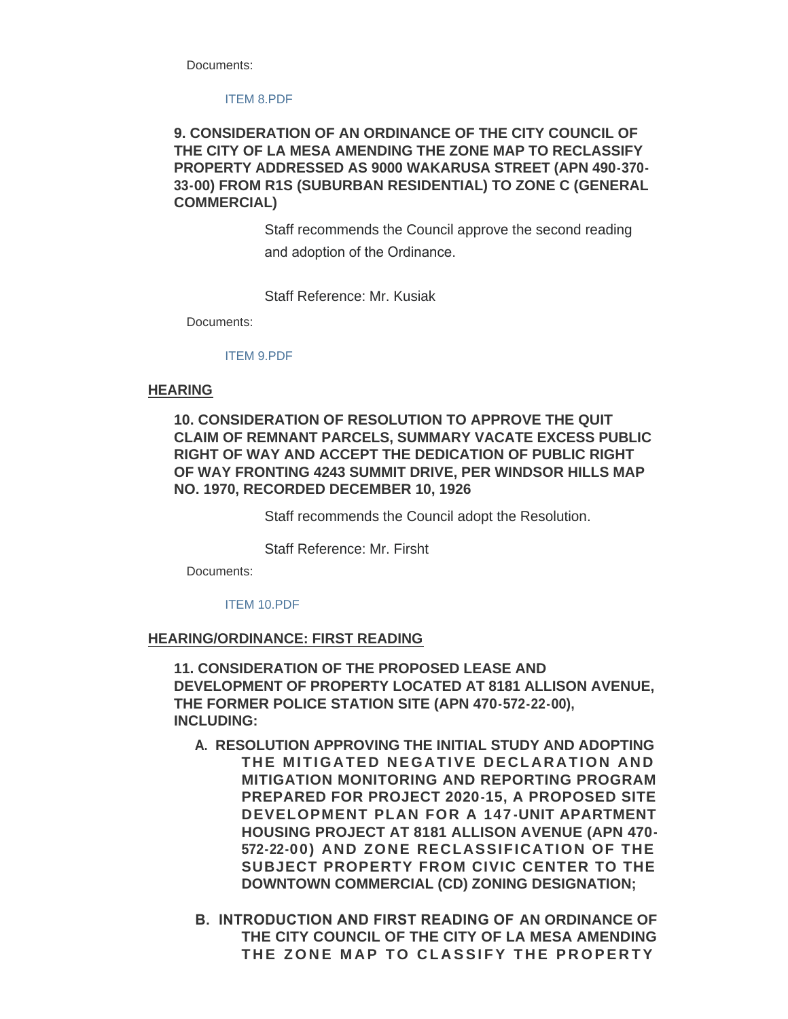Documents:

#### [ITEM 8.PDF](https://www.cityoflamesa.us/AgendaCenter/ViewFile/Item/6436?fileID=15164)

## **9. CONSIDERATION OF AN ORDINANCE OF THE CITY COUNCIL OF THE CITY OF LA MESA AMENDING THE ZONE MAP TO RECLASSIFY PROPERTY ADDRESSED AS 9000 WAKARUSA STREET (APN 490-370- 33-00) FROM R1S (SUBURBAN RESIDENTIAL) TO ZONE C (GENERAL COMMERCIAL)**

Staff recommends the Council approve the second reading and adoption of the Ordinance.

Staff Reference: Mr. Kusiak

Documents:

#### [ITEM 9.PDF](https://www.cityoflamesa.us/AgendaCenter/ViewFile/Item/6437?fileID=15165)

#### **HEARING**

## **10. CONSIDERATION OF RESOLUTION TO APPROVE THE QUIT CLAIM OF REMNANT PARCELS, SUMMARY VACATE EXCESS PUBLIC RIGHT OF WAY AND ACCEPT THE DEDICATION OF PUBLIC RIGHT OF WAY FRONTING 4243 SUMMIT DRIVE, PER WINDSOR HILLS MAP NO. 1970, RECORDED DECEMBER 10, 1926**

Staff recommends the Council adopt the Resolution.

Staff Reference: Mr. Firsht

Documents:

#### [ITEM 10.PDF](https://www.cityoflamesa.us/AgendaCenter/ViewFile/Item/6438?fileID=15166)

#### **HEARING/ORDINANCE: FIRST READING**

**11. CONSIDERATION OF THE PROPOSED LEASE AND DEVELOPMENT OF PROPERTY LOCATED AT 8181 ALLISON AVENUE, THE FORMER POLICE STATION SITE (APN 470-572-22-00), INCLUDING:**

- **A. RESOLUTION APPROVING THE INITIAL STUDY AND ADOPTING THE MITIGATED NEGATIVE DECLARATION AND MITIGATION MONITORING AND REPORTING PROGRAM PREPARED FOR PROJECT 2020-15, A PROPOSED SITE DEVELOPMENT PLAN FOR A 147 -UNIT APARTMENT HOUSING PROJECT AT 8181 ALLISON AVENUE (APN 470- 572-22-00) AND ZONE RECLASSIFICATION OF THE SUBJECT PROPERTY FROM CIVIC CENTER TO THE DOWNTOWN COMMERCIAL (CD) ZONING DESIGNATION;**
- **B. INTRODUCTION AND FIRST READING OF AN ORDINANCE OF THE CITY COUNCIL OF THE CITY OF LA MESA AMENDING THE ZONE MAP TO CLASSIFY THE PROPERTY**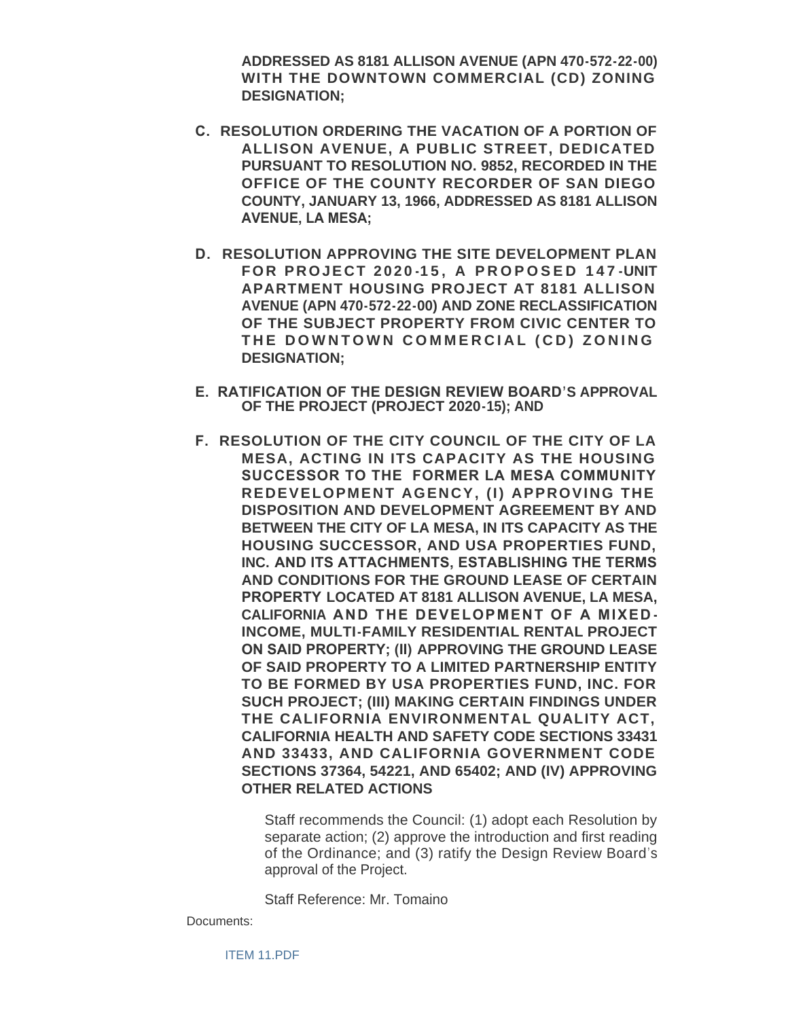**ADDRESSED AS 8181 ALLISON AVENUE (APN 470-572-22-00) WITH THE DOWNTOWN COMMERCIAL (CD) ZONING DESIGNATION;**

- **C. RESOLUTION ORDERING THE VACATION OF A PORTION OF ALLISON AVENUE, A PUBLIC STREET, DEDICATED PURSUANT TO RESOLUTION NO. 9852, RECORDED IN THE OFFICE OF THE COUNTY RECORDER OF SAN DIEGO COUNTY, JANUARY 13, 1966, ADDRESSED AS 8181 ALLISON AVENUE, LA MESA;**
- **D. RESOLUTION APPROVING THE SITE DEVELOPMENT PLAN FOR PROJECT 2020 -15, A PROPOSED 147 -UNIT APARTMENT HOUSING PROJECT AT 8181 ALLISON AVENUE (APN 470-572-22-00) AND ZONE RECLASSIFICATION OF THE SUBJECT PROPERTY FROM CIVIC CENTER TO THE DOWNTOWN COMMERCIAL (CD) ZONING DESIGNATION;**
- **E. RATIFICATION OF THE DESIGN REVIEW BOARD'S APPROVAL OF THE PROJECT (PROJECT 2020-15); AND**
- **F. RESOLUTION OF THE CITY COUNCIL OF THE CITY OF LA MESA, ACTING IN ITS CAPACITY AS THE HOUSING SUCCESSOR TO THE FORMER LA MESA COMMUNITY REDEVELOPMENT AGENCY, (I) APPROVING THE DISPOSITION AND DEVELOPMENT AGREEMENT BY AND BETWEEN THE CITY OF LA MESA, IN ITS CAPACITY AS THE HOUSING SUCCESSOR, AND USA PROPERTIES FUND, INC. AND ITS ATTACHMENTS, ESTABLISHING THE TERMS AND CONDITIONS FOR THE GROUND LEASE OF CERTAIN PROPERTY LOCATED AT 8181 ALLISON AVENUE, LA MESA, CALIFORNIA AND THE DEVELOPMENT OF A MIXED - INCOME, MULTI-FAMILY RESIDENTIAL RENTAL PROJECT ON SAID PROPERTY; (II) APPROVING THE GROUND LEASE OF SAID PROPERTY TO A LIMITED PARTNERSHIP ENTITY TO BE FORMED BY USA PROPERTIES FUND, INC. FOR SUCH PROJECT; (III) MAKING CERTAIN FINDINGS UNDER THE CALIFORNIA ENVIRONMENTAL QUALITY ACT, CALIFORNIA HEALTH AND SAFETY CODE SECTIONS 33431 AND 33433, AND CALIFORNIA GOVERNMENT CODE SECTIONS 37364, 54221, AND 65402; AND (IV) APPROVING OTHER RELATED ACTIONS**

Staff recommends the Council: (1) adopt each Resolution by separate action; (2) approve the introduction and first reading of the Ordinance; and (3) ratify the Design Review Board's approval of the Project.

Staff Reference: Mr. Tomaino

Documents: